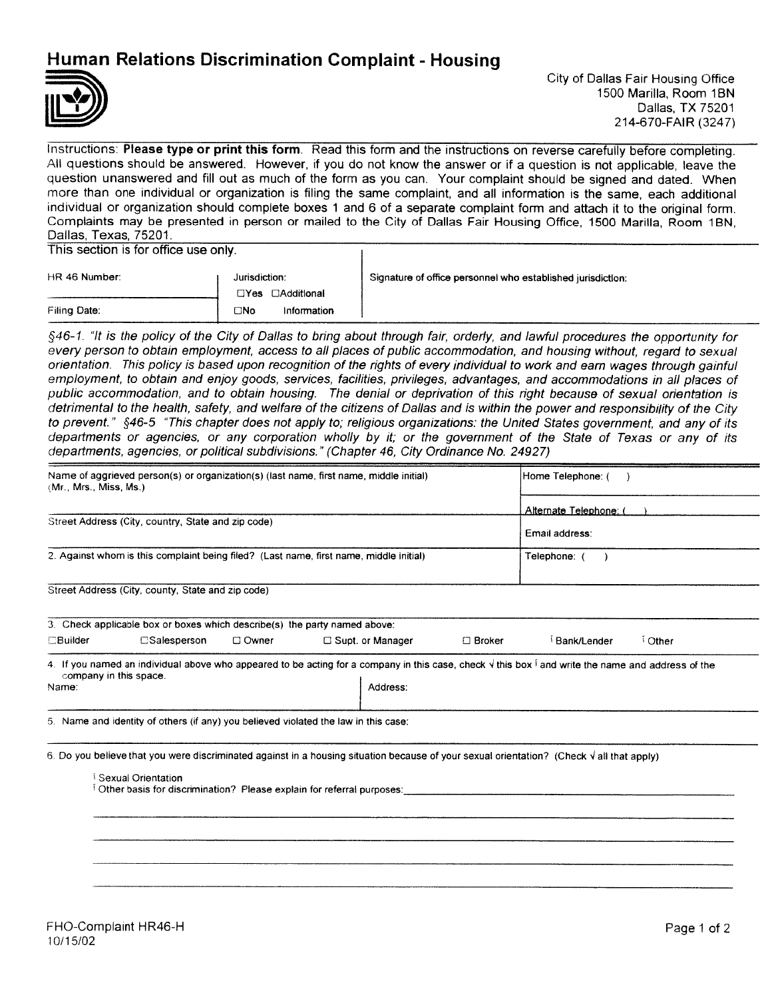## Human Relations Discrimination Complaint - Housing



Instructions: Please type or print this form. Read this form and the instructions on reverse carefully before completing. All questions should be answered. However, if you do not know the answer or if a question is not applicable, leave the question unanswered and fill out as much of the form as you can. Your complaint should be signed and dated. When more than one individual or organization is filing the same complaint, and all information is the same, each additional individual or organization should complete boxes <sup>1</sup> and 6 of a separate complaint form and attach it to the original form. Complaints may be presented in person or mailed to the City of Dallas Fair Housing Office, 1500 Marilla, Room 1BN, Dallas, Texas, 75201.

This section is for office use only.

| HR 46 Number: | Jurisdiction:<br>$\Box Y$ es<br>⊟Additional | Signature of office personnel who established jurisdiction: |
|---------------|---------------------------------------------|-------------------------------------------------------------|
| Filing Date:  | ⊡No<br>Information                          |                                                             |

 $\mathbf{I}$ 

§46-1. "It is the policy of the City of Dallas to bring about through fair, orderly, and lawful procedures the opportunity for every person to obtain employment, access to all places of public accommodation, and housing without, regard to sexual orientation. This policy is based upon recognition of the rights of every individual to work and earn wages through gainful employment, to obtain and enjoy goods, services, facilities, privileges, advantages, and accommodations in all places of public accommodation, and to obtain housing. The denial or deprivation of this right because of sexual orientation is detrimental to the health, safety, and welfare of the citizens of Dallas and is within the power and responsibility of the City to prevent." §46-5 "This chapter does not apply to; religious organizations: the United States government, and any of its departments or agencies, or any corporation wholly by it; or the government of the State of Texas or any of its departments, agencies, or political subdivisions." (Chapter 46, City Ordinance No. 24927)

| Name of aggrieved person(s) or organization(s) (last name, first name, middle initial)<br>(Mr., Mrs., Miss, Ms.) | Home Telephone: (      |
|------------------------------------------------------------------------------------------------------------------|------------------------|
|                                                                                                                  | Alternate Telephone: ( |
| Street Address (City, country, State and zip code)                                                               | Email address:         |
| 2. Against whom is this complaint being filed? (Last name, first name, middle initial)                           | Telephone:             |
| Street Address (City, county, State and zip code)                                                                |                        |

|                 | 3. Check applicable box or boxes which describe(s) the party named above: |         |                         |          |               |       |
|-----------------|---------------------------------------------------------------------------|---------|-------------------------|----------|---------------|-------|
| <b>EBuilder</b> | $\square$ Salesperson                                                     | □ Owner | $\Box$ Supt. or Manager | ⊟ Broker | ∫ Bank/Lender | Other |

4. If you named an individual above who appeared to be acting for a company in this case, check  $\sqrt{ }$  this box  $\frac{1}{2}$  and write the name and address of the company in this space. Name: Address: Address: Address: Address: Address: Address: Address: Address: Address: Address: Address: Address: Address: Address: Address: Address: Address: Address: Address: Address: Address: Address: Address: Address:

5 Name and identity of others (if any) you believed violated the law in this case:

6. Do you believe that you were discriminated against in a housing situation because of your sexual orientation? (Check  $\sqrt{ }$  all that apply)

Sexual Orientation <sup>1</sup> Other basis for discrimination? Please explain for referral purposes: